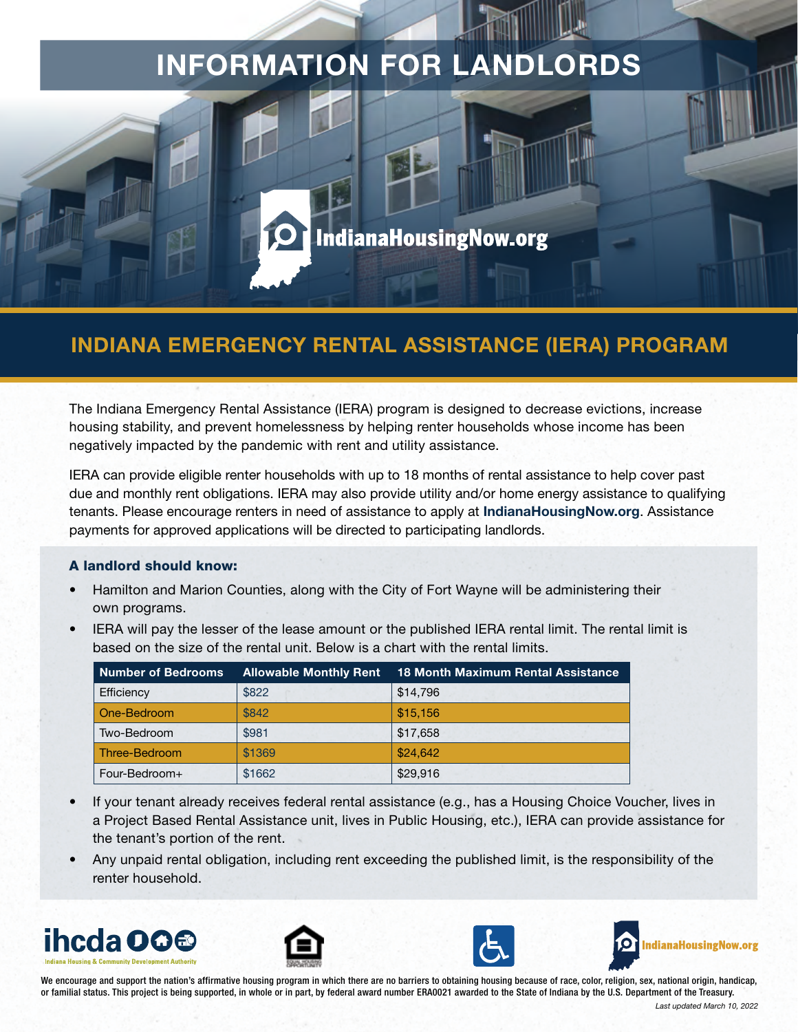# INFORMATION FOR LANDLORDS

## IndianaHousingNow.org

### INDIANA EMERGENCY RENTAL ASSISTANCE (IERA) PROGRAM

The Indiana Emergency Rental Assistance (IERA) program is designed to decrease evictions, increase housing stability, and prevent homelessness by helping renter households whose income has been negatively impacted by the pandemic with rent and utility assistance.

IERA can provide eligible renter households with up to 18 months of rental assistance to help cover past due and monthly rent obligations. IERA may also provide utility and/or home energy assistance to qualifying tenants. Please encourage renters in need of assistance to apply at **[IndianaHousingNow.org](http://www.indianahousingnow.org/)**. Assistance payments for approved applications will be directed to participating landlords.

#### A landlord should know:

- Hamilton and Marion Counties, along with the City of Fort Wayne will be administering their own programs.
- IERA will pay the lesser of the lease amount or the published IERA rental limit. The rental limit is based on the size of the rental unit. Below is a chart with the rental limits.

| <b>Number of Bedrooms</b> | <b>Allowable Monthly Rent</b> | <b>18 Month Maximum Rental Assistance</b> |
|---------------------------|-------------------------------|-------------------------------------------|
| Efficiency                | \$822                         | \$14,796                                  |
| One-Bedroom               | \$842                         | \$15.156                                  |
| Two-Bedroom               | \$981                         | \$17,658                                  |
| Three-Bedroom             | \$1369                        | \$24,642                                  |
| Four-Bedroom+             | \$1662                        | \$29,916                                  |

- If your tenant already receives federal rental assistance (e.g., has a Housing Choice Voucher, lives in a Project Based Rental Assistance unit, lives in Public Housing, etc.), IERA can provide assistance for the tenant's portion of the rent.
- Any unpaid rental obligation, including rent exceeding the published limit, is the responsibility of the renter household.









We encourage and support the nation's affirmative housing program in which there are no barriers to obtaining housing because of race, color, religion, sex, national origin, handicap, or familial status. This project is being supported, in whole or in part, by federal award number ERA0021 awarded to the State of Indiana by the U.S. Department of the Treasury.